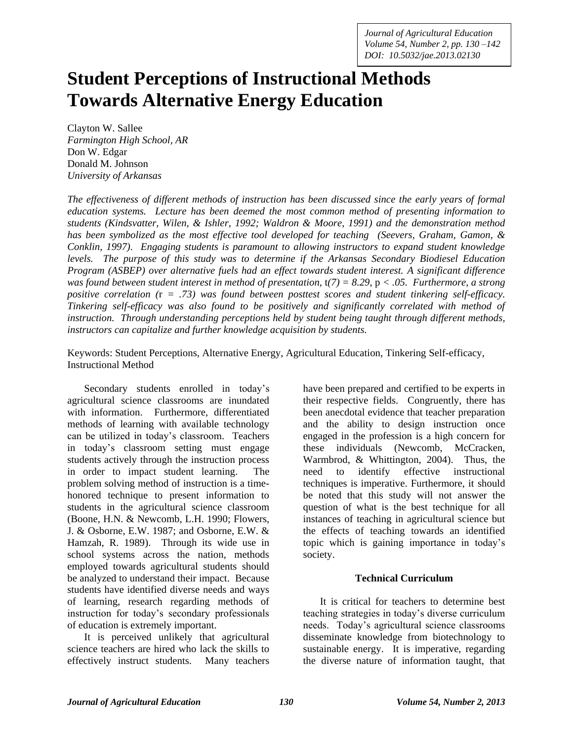# **Student Perceptions of Instructional Methods Towards Alternative Energy Education**

Clayton W. Sallee *Farmington High School, AR* Don W. Edgar Donald M. Johnson *University of Arkansas*

*The effectiveness of different methods of instruction has been discussed since the early years of formal education systems. Lecture has been deemed the most common method of presenting information to students (Kindsvatter, Wilen, & Ishler, 1992; Waldron & Moore, 1991) and the demonstration method has been symbolized as the most effective tool developed for teaching (Seevers, Graham, Gamon, & Conklin, 1997). Engaging students is paramount to allowing instructors to expand student knowledge levels. The purpose of this study was to determine if the Arkansas Secondary Biodiesel Education Program (ASBEP) over alternative fuels had an effect towards student interest. A significant difference was found between student interest in method of presentation,*  $t(7) = 8.29$ ,  $p < .05$ . *Furthermore, a strong positive correlation (*r *= .73) was found between posttest scores and student tinkering self-efficacy. Tinkering self-efficacy was also found to be positively and significantly correlated with method of instruction. Through understanding perceptions held by student being taught through different methods, instructors can capitalize and further knowledge acquisition by students.*

Keywords: Student Perceptions, Alternative Energy, Agricultural Education, Tinkering Self-efficacy, Instructional Method

Secondary students enrolled in today's agricultural science classrooms are inundated with information. Furthermore, differentiated methods of learning with available technology can be utilized in today's classroom. Teachers in today's classroom setting must engage students actively through the instruction process in order to impact student learning. The problem solving method of instruction is a timehonored technique to present information to students in the agricultural science classroom (Boone, H.N. & Newcomb, L.H. 1990; Flowers, J. & Osborne, E.W. 1987; and Osborne, E.W. & Hamzah, R. 1989). Through its wide use in school systems across the nation, methods employed towards agricultural students should be analyzed to understand their impact. Because students have identified diverse needs and ways of learning, research regarding methods of instruction for today's secondary professionals of education is extremely important.

It is perceived unlikely that agricultural science teachers are hired who lack the skills to effectively instruct students. Many teachers have been prepared and certified to be experts in their respective fields. Congruently, there has been anecdotal evidence that teacher preparation and the ability to design instruction once engaged in the profession is a high concern for these individuals (Newcomb, McCracken, Warmbrod, & Whittington, 2004). Thus, the need to identify effective instructional techniques is imperative. Furthermore, it should be noted that this study will not answer the question of what is the best technique for all instances of teaching in agricultural science but the effects of teaching towards an identified topic which is gaining importance in today's society.

#### **Technical Curriculum**

It is critical for teachers to determine best teaching strategies in today's diverse curriculum needs. Today's agricultural science classrooms disseminate knowledge from biotechnology to sustainable energy. It is imperative, regarding the diverse nature of information taught, that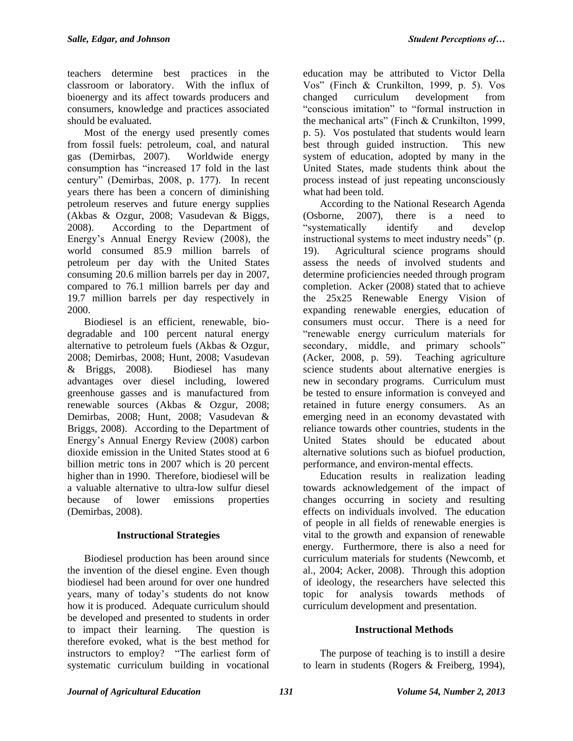teachers determine best practices in the classroom or laboratory. With the influx of bioenergy and its affect towards producers and consumers, knowledge and practices associated should be evaluated.

Most of the energy used presently comes from fossil fuels: petroleum, coal, and natural gas (Demirbas, 2007). Worldwide energy consumption has "increased 17 fold in the last century" (Demirbas, 2008, p. 177). In recent years there has been a concern of diminishing petroleum reserves and future energy supplies (Akbas & Ozgur, 2008; Vasudevan & Biggs, 2008). According to the Department of Energy's Annual Energy Review (2008), the world consumed 85.9 million barrels of petroleum per day with the United States consuming 20.6 million barrels per day in 2007, compared to 76.1 million barrels per day and 19.7 million barrels per day respectively in 2000.

Biodiesel is an efficient, renewable, biodegradable and 100 percent natural energy alternative to petroleum fuels (Akbas & Ozgur, 2008; Demirbas, 2008; Hunt, 2008; Vasudevan & Briggs, 2008). Biodiesel has many advantages over diesel including, lowered greenhouse gasses and is manufactured from renewable sources (Akbas & Ozgur, 2008; Demirbas, 2008; Hunt, 2008; Vasudevan & Briggs, 2008). According to the Department of Energy's Annual Energy Review (2008) carbon dioxide emission in the United States stood at 6 billion metric tons in 2007 which is 20 percent higher than in 1990. Therefore, biodiesel will be a valuable alternative to ultra-low sulfur diesel because of lower emissions properties (Demirbas, 2008).

## **Instructional Strategies**

Biodiesel production has been around since the invention of the diesel engine. Even though biodiesel had been around for over one hundred years, many of today's students do not know how it is produced. Adequate curriculum should be developed and presented to students in order to impact their learning. The question is therefore evoked, what is the best method for instructors to employ? "The earliest form of systematic curriculum building in vocational

education may be attributed to Victor Della Vos" (Finch & Crunkilton, 1999, p. 5). Vos changed curriculum development from "conscious imitation" to "formal instruction in the mechanical arts" (Finch & Crunkilton, 1999, p. 5). Vos postulated that students would learn best through guided instruction. This new system of education, adopted by many in the United States, made students think about the process instead of just repeating unconsciously what had been told.

According to the National Research Agenda (Osborne, 2007), there is a need to "systematically identify and develop instructional systems to meet industry needs" (p. 19). Agricultural science programs should assess the needs of involved students and determine proficiencies needed through program completion. Acker (2008) stated that to achieve the 25x25 Renewable Energy Vision of expanding renewable energies, education of consumers must occur. There is a need for "renewable energy curriculum materials for secondary, middle, and primary schools" (Acker, 2008, p. 59). Teaching agriculture science students about alternative energies is new in secondary programs. Curriculum must be tested to ensure information is conveyed and retained in future energy consumers. As an emerging need in an economy devastated with reliance towards other countries, students in the United States should be educated about alternative solutions such as biofuel production, performance, and environ-mental effects.

Education results in realization leading towards acknowledgement of the impact of changes occurring in society and resulting effects on individuals involved. The education of people in all fields of renewable energies is vital to the growth and expansion of renewable energy. Furthermore, there is also a need for curriculum materials for students (Newcomb, et al., 2004; Acker, 2008). Through this adoption of ideology, the researchers have selected this topic for analysis towards methods of curriculum development and presentation.

# **Instructional Methods**

The purpose of teaching is to instill a desire to learn in students (Rogers & Freiberg, 1994),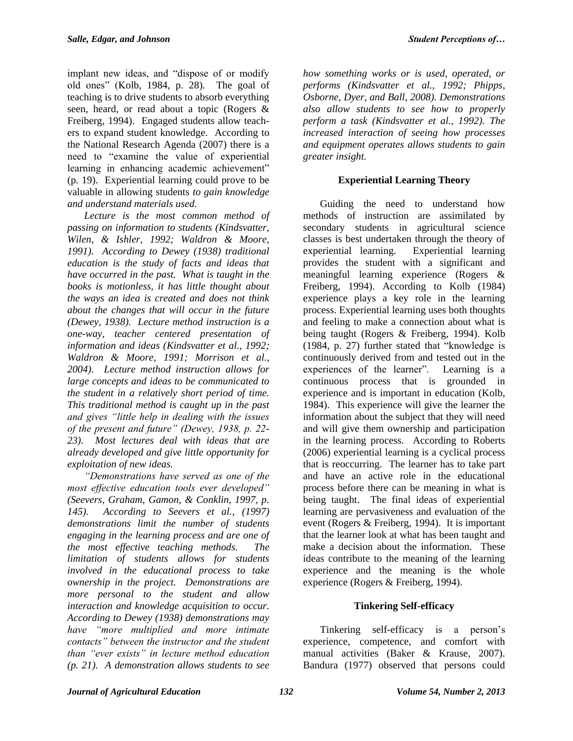implant new ideas, and "dispose of or modify old ones" (Kolb, 1984, p. 28). The goal of teaching is to drive students to absorb everything seen, heard, or read about a topic (Rogers & Freiberg, 1994). Engaged students allow teachers to expand student knowledge. According to the National Research Agenda (2007) there is a need to "examine the value of experiential learning in enhancing academic achievement" (p. 19). Experiential learning could prove to be valuable in allowing students *to gain knowledge and understand materials used.*

*Lecture is the most common method of passing on information to students (Kindsvatter, Wilen, & Ishler, 1992; Waldron & Moore, 1991). According to Dewey (1938) traditional education is the study of facts and ideas that have occurred in the past. What is taught in the books is motionless, it has little thought about the ways an idea is created and does not think about the changes that will occur in the future (Dewey, 1938). Lecture method instruction is a one-way, teacher centered presentation of information and ideas (Kindsvatter et al., 1992; Waldron & Moore, 1991; Morrison et al., 2004). Lecture method instruction allows for large concepts and ideas to be communicated to the student in a relatively short period of time. This traditional method is caught up in the past and gives "little help in dealing with the issues of the present and future" (Dewey, 1938, p. 22- 23). Most lectures deal with ideas that are already developed and give little opportunity for exploitation of new ideas.*

*"Demonstrations have served as one of the most effective education tools ever developed" (Seevers, Graham, Gamon, & Conklin, 1997, p. 145). According to Seevers et al., (1997) demonstrations limit the number of students engaging in the learning process and are one of the most effective teaching methods. The limitation of students allows for students involved in the educational process to take ownership in the project. Demonstrations are more personal to the student and allow interaction and knowledge acquisition to occur. According to Dewey (1938) demonstrations may have "more multiplied and more intimate contacts" between the instructor and the student than "ever exists" in lecture method education (p. 21). A demonstration allows students to see* 

*how something works or is used, operated, or performs (Kindsvatter et al., 1992; Phipps, Osborne, Dyer, and Ball, 2008). Demonstrations also allow students to see how to properly perform a task (Kindsvatter et al., 1992). The increased interaction of seeing how processes and equipment operates allows students to gain greater insight.*

# **Experiential Learning Theory**

Guiding the need to understand how methods of instruction are assimilated by secondary students in agricultural science classes is best undertaken through the theory of experiential learning. Experiential learning provides the student with a significant and meaningful learning experience (Rogers & Freiberg, 1994). According to Kolb (1984) experience plays a key role in the learning process. Experiential learning uses both thoughts and feeling to make a connection about what is being taught (Rogers & Freiberg, 1994). Kolb (1984, p. 27) further stated that "knowledge is continuously derived from and tested out in the experiences of the learner". Learning is a continuous process that is grounded in experience and is important in education (Kolb, 1984). This experience will give the learner the information about the subject that they will need and will give them ownership and participation in the learning process. According to Roberts (2006) experiential learning is a cyclical process that is reoccurring. The learner has to take part and have an active role in the educational process before there can be meaning in what is being taught. The final ideas of experiential learning are pervasiveness and evaluation of the event (Rogers & Freiberg, 1994). It is important that the learner look at what has been taught and make a decision about the information. These ideas contribute to the meaning of the learning experience and the meaning is the whole experience (Rogers & Freiberg, 1994).

## **Tinkering Self-efficacy**

Tinkering self-efficacy is a person's experience, competence, and comfort with manual activities (Baker & Krause, 2007). Bandura (1977) observed that persons could

*Journal of Agricultural Education 132 Volume 54, Number 2, 2013*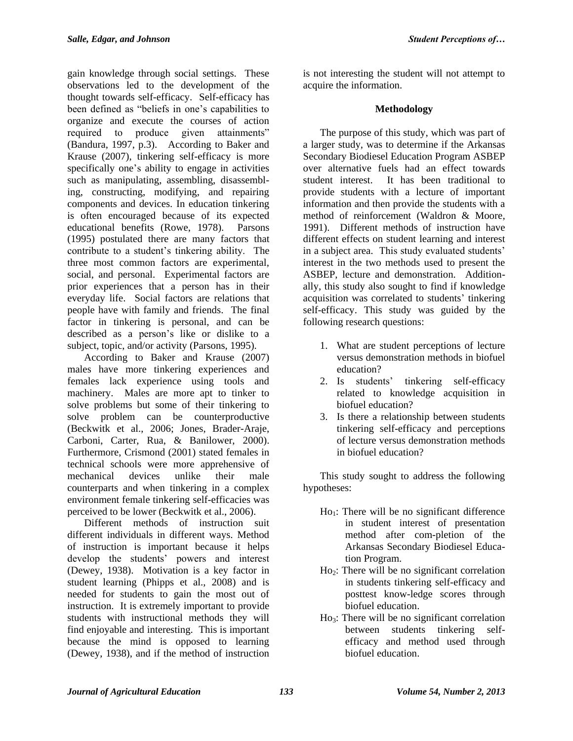gain knowledge through social settings. These observations led to the development of the thought towards self-efficacy. Self-efficacy has been defined as "beliefs in one's capabilities to organize and execute the courses of action required to produce given attainments" (Bandura, 1997, p.3). According to Baker and Krause (2007), tinkering self-efficacy is more specifically one's ability to engage in activities such as manipulating, assembling, disassembling, constructing, modifying, and repairing components and devices. In education tinkering is often encouraged because of its expected educational benefits (Rowe, 1978). Parsons (1995) postulated there are many factors that contribute to a student's tinkering ability. The three most common factors are experimental, social, and personal. Experimental factors are prior experiences that a person has in their everyday life. Social factors are relations that people have with family and friends. The final factor in tinkering is personal, and can be described as a person's like or dislike to a subject, topic, and/or activity (Parsons, 1995).

According to Baker and Krause (2007) males have more tinkering experiences and females lack experience using tools and machinery. Males are more apt to tinker to solve problems but some of their tinkering to solve problem can be counterproductive (Beckwitk et al., 2006; Jones, Brader-Araje, Carboni, Carter, Rua, & Banilower, 2000). Furthermore, Crismond (2001) stated females in technical schools were more apprehensive of mechanical devices unlike their male counterparts and when tinkering in a complex environment female tinkering self-efficacies was perceived to be lower (Beckwitk et al., 2006).

Different methods of instruction suit different individuals in different ways. Method of instruction is important because it helps develop the students' powers and interest (Dewey, 1938). Motivation is a key factor in student learning (Phipps et al., 2008) and is needed for students to gain the most out of instruction. It is extremely important to provide students with instructional methods they will find enjoyable and interesting. This is important because the mind is opposed to learning (Dewey, 1938), and if the method of instruction is not interesting the student will not attempt to acquire the information.

# **Methodology**

The purpose of this study, which was part of a larger study, was to determine if the Arkansas Secondary Biodiesel Education Program ASBEP over alternative fuels had an effect towards student interest. It has been traditional to provide students with a lecture of important information and then provide the students with a method of reinforcement (Waldron & Moore, 1991). Different methods of instruction have different effects on student learning and interest in a subject area. This study evaluated students' interest in the two methods used to present the ASBEP, lecture and demonstration. Additionally, this study also sought to find if knowledge acquisition was correlated to students' tinkering self-efficacy. This study was guided by the following research questions:

- 1. What are student perceptions of lecture versus demonstration methods in biofuel education?
- 2. Is students' tinkering self-efficacy related to knowledge acquisition in biofuel education?
- 3. Is there a relationship between students tinkering self-efficacy and perceptions of lecture versus demonstration methods in biofuel education?

This study sought to address the following hypotheses:

- $Ho<sub>1</sub>:$  There will be no significant difference in student interest of presentation method after com-pletion of the Arkansas Secondary Biodiesel Education Program.
- Ho2: There will be no significant correlation in students tinkering self-efficacy and posttest know-ledge scores through biofuel education.
- $Ho<sub>3</sub>: There will be no significant correlation$ between students tinkering selfefficacy and method used through biofuel education.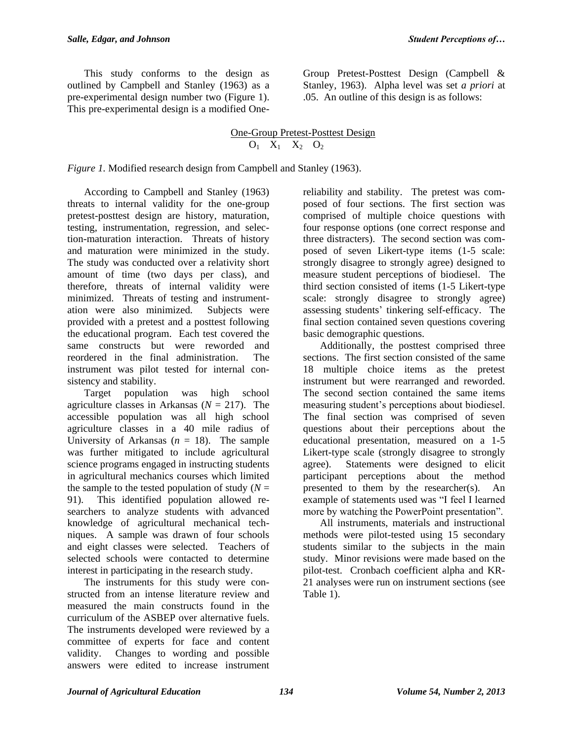This study conforms to the design as outlined by Campbell and Stanley (1963) as a pre-experimental design number two (Figure 1). This pre-experimental design is a modified OneGroup Pretest-Posttest Design (Campbell & Stanley, 1963). Alpha level was set *a priori* at .05. An outline of this design is as follows:

### One-Group Pretest-Posttest Design  $O_1$   $X_1$   $X_2$   $O_2$

*Figure 1.* Modified research design from Campbell and Stanley (1963).

According to Campbell and Stanley (1963) threats to internal validity for the one-group pretest-posttest design are history, maturation, testing, instrumentation, regression, and selection-maturation interaction. Threats of history and maturation were minimized in the study. The study was conducted over a relativity short amount of time (two days per class), and therefore, threats of internal validity were minimized. Threats of testing and instrumentation were also minimized. Subjects were provided with a pretest and a posttest following the educational program. Each test covered the same constructs but were reworded and reordered in the final administration. The instrument was pilot tested for internal consistency and stability.

Target population was high school agriculture classes in Arkansas (*N* = 217). The accessible population was all high school agriculture classes in a 40 mile radius of University of Arkansas  $(n = 18)$ . The sample was further mitigated to include agricultural science programs engaged in instructing students in agricultural mechanics courses which limited the sample to the tested population of study  $(N =$ 91). This identified population allowed researchers to analyze students with advanced knowledge of agricultural mechanical techniques. A sample was drawn of four schools and eight classes were selected. Teachers of selected schools were contacted to determine interest in participating in the research study.

The instruments for this study were constructed from an intense literature review and measured the main constructs found in the curriculum of the ASBEP over alternative fuels. The instruments developed were reviewed by a committee of experts for face and content validity. Changes to wording and possible answers were edited to increase instrument

reliability and stability. The pretest was composed of four sections. The first section was comprised of multiple choice questions with four response options (one correct response and three distracters). The second section was composed of seven Likert-type items (1-5 scale: strongly disagree to strongly agree) designed to measure student perceptions of biodiesel. The third section consisted of items (1-5 Likert-type scale: strongly disagree to strongly agree) assessing students' tinkering self-efficacy. The final section contained seven questions covering basic demographic questions.

Additionally, the posttest comprised three sections. The first section consisted of the same 18 multiple choice items as the pretest instrument but were rearranged and reworded. The second section contained the same items measuring student's perceptions about biodiesel. The final section was comprised of seven questions about their perceptions about the educational presentation, measured on a 1-5 Likert-type scale (strongly disagree to strongly agree). Statements were designed to elicit participant perceptions about the method presented to them by the researcher(s). An example of statements used was "I feel I learned more by watching the PowerPoint presentation".

All instruments, materials and instructional methods were pilot-tested using 15 secondary students similar to the subjects in the main study. Minor revisions were made based on the pilot-test. Cronbach coefficient alpha and KR-21 analyses were run on instrument sections (see Table 1).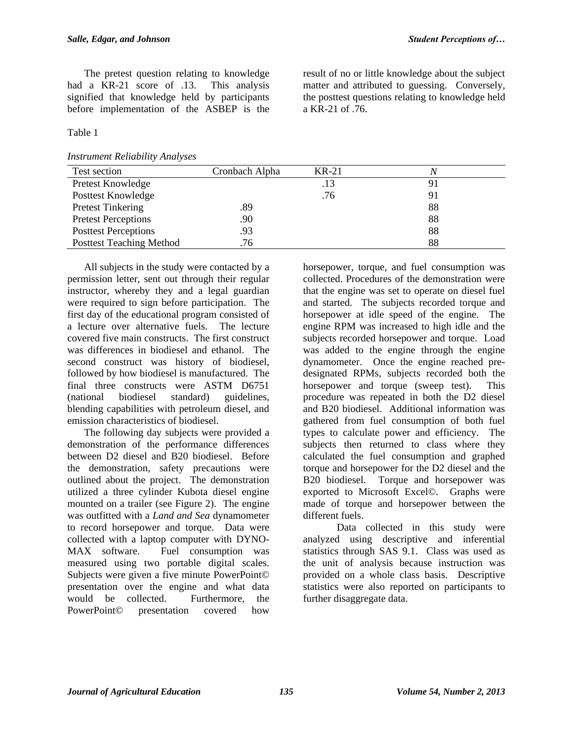The pretest question relating to knowledge had a KR-21 score of .13. This analysis signified that knowledge held by participants before implementation of the ASBEP is the

Table 1

*Instrument Reliability Analyses*

result of no or little knowledge about the subject matter and attributed to guessing. Conversely, the posttest questions relating to knowledge held a KR-21 of .76.

| Test section                    | Cronbach Alpha | $KR-21$ |    |
|---------------------------------|----------------|---------|----|
| Pretest Knowledge               |                | .13     |    |
| Posttest Knowledge              |                | .76     | 91 |
| <b>Pretest Tinkering</b>        | .89            |         | 88 |
| <b>Pretest Perceptions</b>      | .90            |         | 88 |
| <b>Posttest Perceptions</b>     | .93            |         | 88 |
| <b>Posttest Teaching Method</b> | .76            |         | 88 |

All subjects in the study were contacted by a permission letter, sent out through their regular instructor, whereby they and a legal guardian were required to sign before participation. The first day of the educational program consisted of a lecture over alternative fuels. The lecture covered five main constructs. The first construct was differences in biodiesel and ethanol. The second construct was history of biodiesel, followed by how biodiesel is manufactured. The final three constructs were ASTM D6751 (national biodiesel standard) guidelines, blending capabilities with petroleum diesel, and emission characteristics of biodiesel.

The following day subjects were provided a demonstration of the performance differences between D2 diesel and B20 biodiesel. Before the demonstration, safety precautions were outlined about the project. The demonstration utilized a three cylinder Kubota diesel engine mounted on a trailer (see Figure 2). The engine was outfitted with a *Land and Sea* dynamometer to record horsepower and torque. Data were collected with a laptop computer with DYNO-MAX software. Fuel consumption was measured using two portable digital scales. Subjects were given a five minute PowerPoint© presentation over the engine and what data would be collected. Furthermore, the PowerPoint© presentation covered how

horsepower, torque, and fuel consumption was collected. Procedures of the demonstration were that the engine was set to operate on diesel fuel and started. The subjects recorded torque and horsepower at idle speed of the engine. The engine RPM was increased to high idle and the subjects recorded horsepower and torque. Load was added to the engine through the engine dynamometer. Once the engine reached predesignated RPMs, subjects recorded both the horsepower and torque (sweep test). This procedure was repeated in both the D2 diesel and B20 biodiesel. Additional information was gathered from fuel consumption of both fuel types to calculate power and efficiency. The subjects then returned to class where they calculated the fuel consumption and graphed torque and horsepower for the D2 diesel and the B20 biodiesel. Torque and horsepower was exported to Microsoft Excel©. Graphs were made of torque and horsepower between the different fuels.

Data collected in this study were analyzed using descriptive and inferential statistics through SAS 9.1. Class was used as the unit of analysis because instruction was provided on a whole class basis. Descriptive statistics were also reported on participants to further disaggregate data.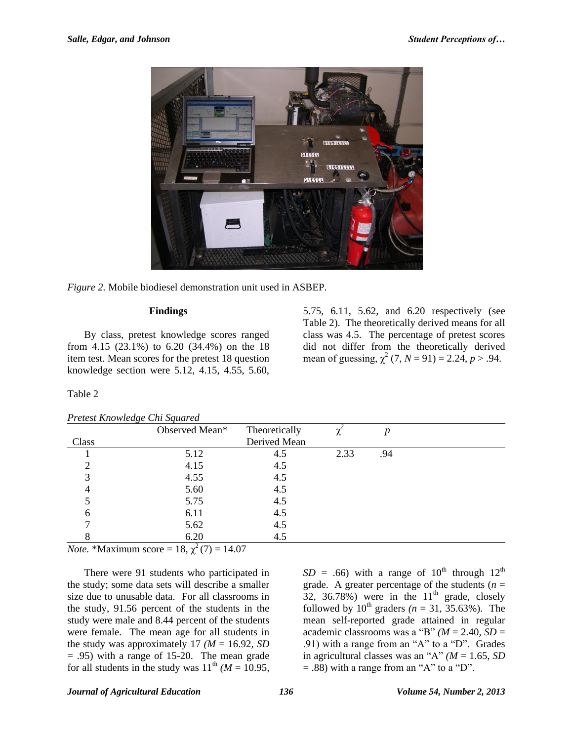

*Figure 2.* Mobile biodiesel demonstration unit used in ASBEP.

#### **Findings**

By class, pretest knowledge scores ranged from 4.15 (23.1%) to 6.20 (34.4%) on the 18 item test. Mean scores for the pretest 18 question knowledge section were 5.12, 4.15, 4.55, 5.60, 5.75, 6.11, 5.62, and 6.20 respectively (see Table 2). The theoretically derived means for all class was 4.5. The percentage of pretest scores did not differ from the theoretically derived mean of guessing,  $\chi^2$  (7, *N* = 91) = 2.24, *p* > .94.

#### Table 2

| Pretest Knowledge Chi Squared |  |  |  |
|-------------------------------|--|--|--|
|                               |  |  |  |

|       | Observed Mean* | Theoretically |      | n   |  |
|-------|----------------|---------------|------|-----|--|
| Class |                | Derived Mean  |      |     |  |
|       | 5.12           | 4.5           | 2.33 | .94 |  |
| ◠     | 4.15           | 4.5           |      |     |  |
| 3     | 4.55           | 4.5           |      |     |  |
|       | 5.60           | 4.5           |      |     |  |
|       | 5.75           | 4.5           |      |     |  |
| 6     | 6.11           | 4.5           |      |     |  |
|       | 5.62           | 4.5           |      |     |  |
|       | 6.20           | 4.5           |      |     |  |

*Note.* \*Maximum score = 18,  $\chi^2(7) = 14.07$ 

There were 91 students who participated in the study; some data sets will describe a smaller size due to unusable data. For all classrooms in the study, 91.56 percent of the students in the study were male and 8.44 percent of the students were female. The mean age for all students in the study was approximately 17  $(M = 16.92, SD)$  $= .95$ ) with a range of 15-20. The mean grade for all students in the study was  $11^{th}$  *(M = 10.95,)* 

 $SD = .66$ ) with a range of  $10^{th}$  through  $12^{th}$ grade. A greater percentage of the students  $(n =$ 32, 36.78%) were in the  $11<sup>th</sup>$  grade, closely followed by  $10^{th}$  graders ( $n = 31, 35.63\%$ ). The mean self-reported grade attained in regular academic classrooms was a "B" *(M* = 2.40*, SD* = .91) with a range from an "A" to a "D". Grades in agricultural classes was an "A"  $(M = 1.65, SD)$  $=$  .88) with a range from an "A" to a "D".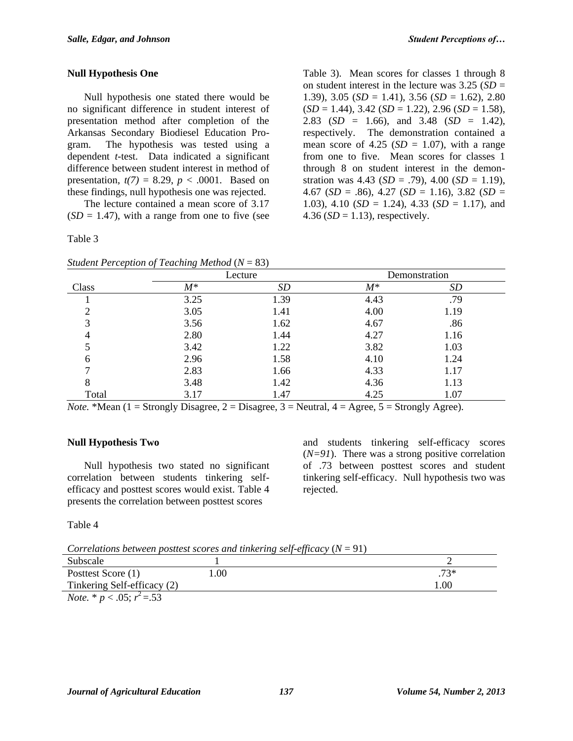#### **Null Hypothesis One**

Null hypothesis one stated there would be no significant difference in student interest of presentation method after completion of the Arkansas Secondary Biodiesel Education Program. The hypothesis was tested using a dependent *t*-test. Data indicated a significant difference between student interest in method of presentation,  $t(7) = 8.29$ ,  $p < .0001$ . Based on these findings, null hypothesis one was rejected.

The lecture contained a mean score of 3.17  $(SD = 1.47)$ , with a range from one to five (see

Table 3

Table 3). Mean scores for classes 1 through 8 on student interest in the lecture was  $3.25$  (*SD* = 1.39), 3.05 (*SD* = 1.41), 3.56 (*SD* = 1.62), 2.80 (*SD* = 1.44), 3.42 (*SD* = 1.22), 2.96 (*SD* = 1.58), 2.83 (*SD* = 1.66), and 3.48 (*SD* = 1.42), respectively. The demonstration contained a mean score of  $4.25$  ( $SD = 1.07$ ), with a range from one to five. Mean scores for classes 1 through 8 on student interest in the demonstration was 4.43 (*SD* = .79), 4.00 (*SD* = 1.19), 4.67 (*SD* = .86), 4.27 (*SD* = 1.16), 3.82 (*SD* = 1.03), 4.10 ( $SD = 1.24$ ), 4.33 ( $SD = 1.17$ ), and 4.36 ( $SD = 1.13$ ), respectively.

| Class |       | Lecture | Demonstration |      |
|-------|-------|---------|---------------|------|
|       | $M^*$ | SD      | $M^*$         | SD   |
|       | 3.25  | 1.39    | 4.43          | .79  |
|       | 3.05  | 1.41    | 4.00          | 1.19 |
| 3     | 3.56  | 1.62    | 4.67          | .86  |
|       | 2.80  | 1.44    | 4.27          | 1.16 |
|       | 3.42  | 1.22    | 3.82          | 1.03 |
| 6     | 2.96  | 1.58    | 4.10          | 1.24 |
|       | 2.83  | 1.66    | 4.33          | 1.17 |
| 8     | 3.48  | 1.42    | 4.36          | 1.13 |
| Total | 3.17  | 1.47    | 4.25          | 1.07 |

*Student Perception of Teaching Method* (*N* = 83)

*Note.* \*Mean (1 = Strongly Disagree, 2 = Disagree, 3 = Neutral, 4 = Agree, 5 = Strongly Agree).

## **Null Hypothesis Two**

Null hypothesis two stated no significant correlation between students tinkering selfefficacy and posttest scores would exist. Table 4 presents the correlation between posttest scores

and students tinkering self-efficacy scores  $(N=91)$ . There was a strong positive correlation of .73 between posttest scores and student tinkering self-efficacy. Null hypothesis two was rejected.

Table 4

*Correlations between posttest scores and tinkering self-efficacy* (*N* = 91)

|                                        |      | .     |
|----------------------------------------|------|-------|
| Subscale                               |      |       |
| Posttest Score (1)                     | .00. | $73*$ |
| Tinkering Self-efficacy (2)            |      | .00   |
| <i>Note.</i> * $p < .05$ ; $r^2 = .53$ |      |       |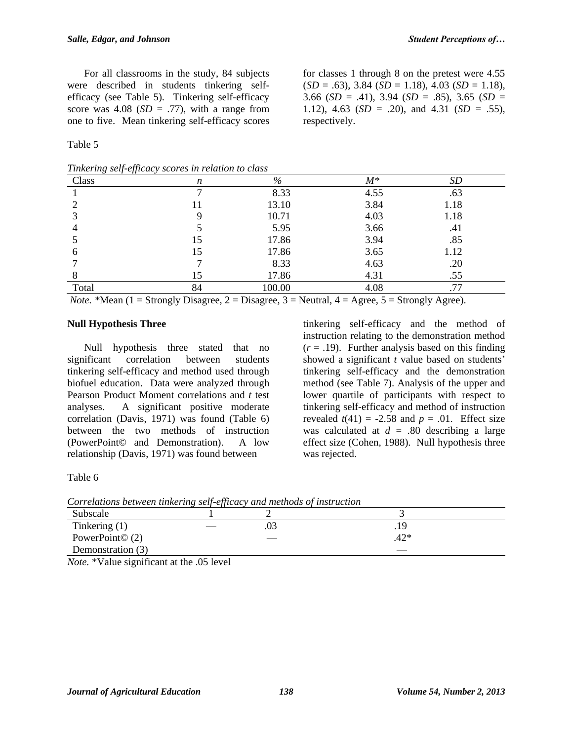For all classrooms in the study, 84 subjects were described in students tinkering selfefficacy (see Table 5). Tinkering self-efficacy score was  $4.08$  (*SD* = .77), with a range from one to five. Mean tinkering self-efficacy scores

Table 5

| Tinkering self-efficacy scores in relation to class |  |  |
|-----------------------------------------------------|--|--|
|                                                     |  |  |

for classes 1 through 8 on the pretest were 4.55 (*SD* = .63), 3.84 (*SD* = 1.18), 4.03 (*SD* = 1.18), 3.66 (*SD* = .41), 3.94 (*SD* = .85), 3.65 (*SD* = 1.12), 4.63 (*SD* = .20), and 4.31 (*SD* = .55), respectively.

| Class | n  | %      | $M^*$ | <b>SD</b> |
|-------|----|--------|-------|-----------|
|       | −  | 8.33   | 4.55  | .63       |
|       | Ħ  | 13.10  | 3.84  | 1.18      |
|       |    | 10.71  | 4.03  | 1.18      |
|       |    | 5.95   | 3.66  | .41       |
|       | 15 | 17.86  | 3.94  | .85       |
|       | 15 | 17.86  | 3.65  | 1.12      |
|       |    | 8.33   | 4.63  | .20       |
|       | 15 | 17.86  | 4.31  | .55       |
| Total | 84 | 100.00 | 4.08  | .77       |

*Note.* \*Mean (1 = Strongly Disagree, 2 = Disagree, 3 = Neutral,  $4 = \text{Agree}, 5 = \text{Strongly Agree}.$ 

#### **Null Hypothesis Three**

Null hypothesis three stated that no significant correlation between students tinkering self-efficacy and method used through biofuel education. Data were analyzed through Pearson Product Moment correlations and *t* test analyses. A significant positive moderate correlation (Davis, 1971) was found (Table 6) between the two methods of instruction (PowerPoint© and Demonstration). A low relationship (Davis, 1971) was found between

tinkering self-efficacy and the method of instruction relating to the demonstration method  $(r = .19)$ . Further analysis based on this finding showed a significant *t* value based on students' tinkering self-efficacy and the demonstration method (see Table 7). Analysis of the upper and lower quartile of participants with respect to tinkering self-efficacy and method of instruction revealed  $t(41) = -2.58$  and  $p = .01$ . Effect size was calculated at  $d = .80$  describing a large effect size (Cohen, 1988). Null hypothesis three was rejected.

Table 6

*Correlations between tinkering self-efficacy and methods of instruction*

|                        | $\cdot$ |     |        |
|------------------------|---------|-----|--------|
| Subscale               |         |     |        |
| Tinkering $(1)$        |         | .03 | .19    |
| PowerPoint $\odot$ (2) |         |     | $.42*$ |
| Demonstration (3)      |         |     |        |

*Note.* \*Value significant at the .05 level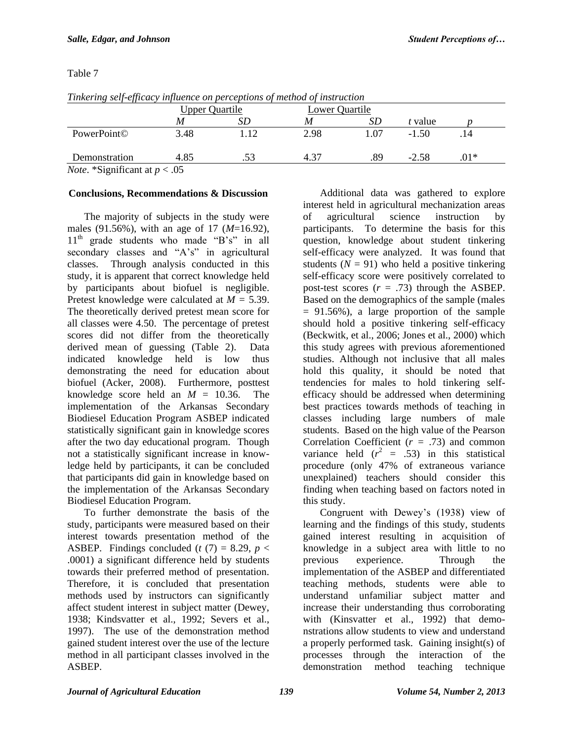|               | <b>Upper Quartile</b> |     |      | Lower Quartile |         |        |
|---------------|-----------------------|-----|------|----------------|---------|--------|
|               | M                     | SD  | M    | SD             | t value |        |
| PowerPoint©   | 3.48                  | 112 | 2.98 | 1.07           | $-1.50$ |        |
| Demonstration | 4.85                  |     | 4.37 | .89            | $-2.58$ | $.01*$ |

*Tinkering self-efficacy influence on perceptions of method of instruction*

*Note*. \*Significant at *p* < .05

# **Conclusions, Recommendations & Discussion**

The majority of subjects in the study were males (91.56%), with an age of 17 (*M*=16.92),  $11<sup>th</sup>$  grade students who made "B's" in all secondary classes and "A's" in agricultural classes. Through analysis conducted in this study, it is apparent that correct knowledge held by participants about biofuel is negligible. Pretest knowledge were calculated at *M =* 5.39. The theoretically derived pretest mean score for all classes were 4.50. The percentage of pretest scores did not differ from the theoretically derived mean of guessing (Table 2). Data indicated knowledge held is low thus demonstrating the need for education about biofuel (Acker, 2008). Furthermore, posttest knowledge score held an  $M = 10.36$ . The implementation of the Arkansas Secondary Biodiesel Education Program ASBEP indicated statistically significant gain in knowledge scores after the two day educational program. Though not a statistically significant increase in knowledge held by participants, it can be concluded that participants did gain in knowledge based on the implementation of the Arkansas Secondary Biodiesel Education Program.

To further demonstrate the basis of the study, participants were measured based on their interest towards presentation method of the ASBEP. Findings concluded ( $t(7) = 8.29$ ,  $p <$ .0001) a significant difference held by students towards their preferred method of presentation. Therefore, it is concluded that presentation methods used by instructors can significantly affect student interest in subject matter (Dewey, 1938; Kindsvatter et al., 1992; Severs et al., 1997). The use of the demonstration method gained student interest over the use of the lecture method in all participant classes involved in the ASBEP.

Additional data was gathered to explore interest held in agricultural mechanization areas of agricultural science instruction by participants. To determine the basis for this question, knowledge about student tinkering self-efficacy were analyzed. It was found that students  $(N = 91)$  who held a positive tinkering self-efficacy score were positively correlated to post-test scores  $(r = .73)$  through the ASBEP. Based on the demographics of the sample (males  $= 91.56\%$ , a large proportion of the sample should hold a positive tinkering self-efficacy (Beckwitk, et al., 2006; Jones et al., 2000) which this study agrees with previous aforementioned studies. Although not inclusive that all males hold this quality, it should be noted that tendencies for males to hold tinkering selfefficacy should be addressed when determining best practices towards methods of teaching in classes including large numbers of male students. Based on the high value of the Pearson Correlation Coefficient (*r =* .73) and common variance held  $(r^2 = .53)$  in this statistical procedure (only 47% of extraneous variance unexplained) teachers should consider this finding when teaching based on factors noted in this study.

Congruent with Dewey's (1938) view of learning and the findings of this study, students gained interest resulting in acquisition of knowledge in a subject area with little to no previous experience. Through the implementation of the ASBEP and differentiated teaching methods, students were able to understand unfamiliar subject matter and increase their understanding thus corroborating with (Kinsvatter et al., 1992) that demonstrations allow students to view and understand a properly performed task. Gaining insight(s) of processes through the interaction of the demonstration method teaching technique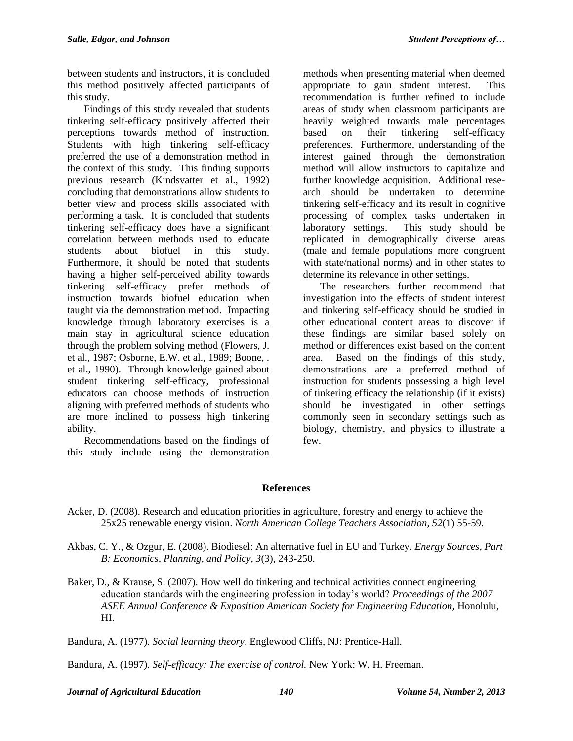between students and instructors, it is concluded this method positively affected participants of this study.

Findings of this study revealed that students tinkering self-efficacy positively affected their perceptions towards method of instruction. Students with high tinkering self-efficacy preferred the use of a demonstration method in the context of this study. This finding supports previous research (Kindsvatter et al., 1992) concluding that demonstrations allow students to better view and process skills associated with performing a task. It is concluded that students tinkering self-efficacy does have a significant correlation between methods used to educate students about biofuel in this study. Furthermore, it should be noted that students having a higher self-perceived ability towards tinkering self-efficacy prefer methods of instruction towards biofuel education when taught via the demonstration method. Impacting knowledge through laboratory exercises is a main stay in agricultural science education through the problem solving method (Flowers, J. et al., 1987; Osborne, E.W. et al., 1989; Boone, . et al., 1990). Through knowledge gained about student tinkering self-efficacy, professional educators can choose methods of instruction aligning with preferred methods of students who are more inclined to possess high tinkering ability.

Recommendations based on the findings of this study include using the demonstration

methods when presenting material when deemed appropriate to gain student interest. This recommendation is further refined to include areas of study when classroom participants are heavily weighted towards male percentages based on their tinkering self-efficacy preferences. Furthermore, understanding of the interest gained through the demonstration method will allow instructors to capitalize and further knowledge acquisition. Additional research should be undertaken to determine tinkering self-efficacy and its result in cognitive processing of complex tasks undertaken in laboratory settings. This study should be replicated in demographically diverse areas (male and female populations more congruent with state/national norms) and in other states to determine its relevance in other settings.

The researchers further recommend that investigation into the effects of student interest and tinkering self-efficacy should be studied in other educational content areas to discover if these findings are similar based solely on method or differences exist based on the content area. Based on the findings of this study, demonstrations are a preferred method of instruction for students possessing a high level of tinkering efficacy the relationship (if it exists) should be investigated in other settings commonly seen in secondary settings such as biology, chemistry, and physics to illustrate a few.

## **References**

- Acker, D. (2008). Research and education priorities in agriculture, forestry and energy to achieve the 25x25 renewable energy vision. *North American College Teachers Association, 52*(1) 55-59.
- Akbas, C. Y., & Ozgur, E. (2008). Biodiesel: An alternative fuel in EU and Turkey. *Energy Sources, Part B: Economics, Planning, and Policy, 3*(3), 243-250.
- Baker, D., & Krause, S. (2007). How well do tinkering and technical activities connect engineering education standards with the engineering profession in today's world? *Proceedings of the 2007 ASEE Annual Conference & Exposition American Society for Engineering Education,* Honolulu, HI.

Bandura, A. (1977). *Social learning theory*. Englewood Cliffs, NJ: Prentice-Hall.

Bandura, A. (1997). *Self-efficacy: The exercise of control.* New York: W. H. Freeman.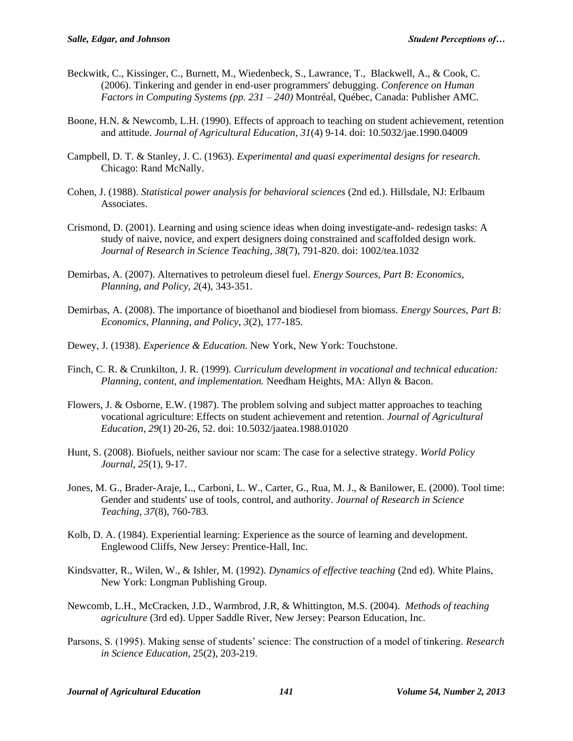- Beckwitk, C., Kissinger, C., Burnett, M., Wiedenbeck, S., Lawrance, T., Blackwell, A., & Cook, C. (2006). Tinkering and gender in end-user programmers' debugging. *Conference on Human Factors in Computing Systems (pp. 231 – 240)* Montréal, Québec, Canada: Publisher AMC.
- Boone, H.N. & Newcomb, L.H. (1990). Effects of approach to teaching on student achievement, retention and attitude. *Journal of Agricultural Education, 31*(4) 9-14. doi: 10.5032/jae.1990.04009
- Campbell, D. T. & Stanley, J. C. (1963). *Experimental and quasi experimental designs for research.*  Chicago: Rand McNally.
- Cohen, J. (1988). *Statistical power analysis for behavioral sciences* (2nd ed.). Hillsdale, NJ: Erlbaum Associates.
- Crismond, D. (2001). Learning and using science ideas when doing investigate-and- redesign tasks: A study of naive, novice, and expert designers doing constrained and scaffolded design work. *Journal of Research in Science Teaching, 38*(7), 791-820. doi: 1002/tea.1032
- Demirbas, A. (2007). Alternatives to petroleum diesel fuel. *Energy Sources, Part B: Economics, Planning, and Policy, 2*(4), 343-351.
- Demirbas, A. (2008). The importance of bioethanol and biodiesel from biomass. *Energy Sources, Part B: Economics, Planning, and Policy, 3*(2), 177-185.
- Dewey, J. (1938). *Experience & Education.* New York, New York: Touchstone.
- Finch, C. R. & Crunkilton, J. R. (1999). *Curriculum development in vocational and technical education: Planning, content, and implementation.* Needham Heights, MA: Allyn & Bacon.
- Flowers, J. & Osborne, E.W. (1987). The problem solving and subject matter approaches to teaching vocational agriculture: Effects on student achievement and retention. *Journal of Agricultural Education, 29*(1) 20-26, 52. doi: 10.5032/jaatea.1988.01020
- Hunt, S. (2008). Biofuels, neither saviour nor scam: The case for a selective strategy. *World Policy Journal, 25*(1), 9-17.
- Jones, M. G., Brader-Araje, L., Carboni, L. W., Carter, G., Rua, M. J., & Banilower, E. (2000). Tool time: Gender and students' use of tools, control, and authority. *Journal of Research in Science Teaching, 37*(8), 760-783.
- Kolb, D. A. (1984). Experiential learning: Experience as the source of learning and development. Englewood Cliffs, New Jersey: Prentice-Hall, Inc.
- Kindsvatter, R., Wilen, W., & Ishler, M. (1992). *Dynamics of effective teaching* (2nd ed). White Plains, New York: Longman Publishing Group.
- Newcomb, L.H., McCracken, J.D., Warmbrod, J.R, & Whittington, M.S. (2004). *Methods of teaching agriculture* (3rd ed). Upper Saddle River, New Jersey: Pearson Education, Inc.
- Parsons, S. (1995). Making sense of students' science: The construction of a model of tinkering. *Research in Science Education,* 25(2), 203-219.